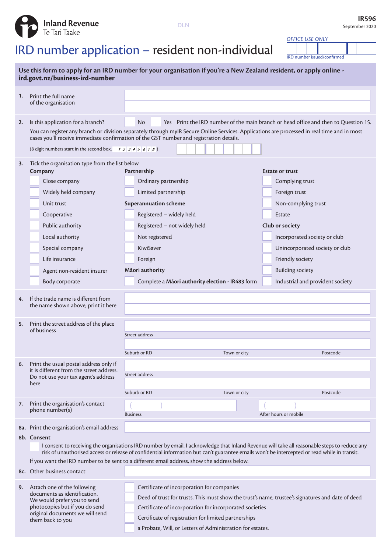**DLN** 



## IRD number application – resident non-individual

**Inland Revenue**<br>Te Tari Taake

*OFFICE USE ONLY* IRD number issued/confirmed

| Use this form to apply for an IRD number for your organisation if you're a New Zealand resident, or apply online -<br>ird.govt.nz/business-ird-number |                                                                                                                                                                                                                                                                                                                                                                                                                                                          |                                                                                                                                                                                                                                                                                                                                 |                                                                                                                                                                                  |  |  |  |  |  |  |
|-------------------------------------------------------------------------------------------------------------------------------------------------------|----------------------------------------------------------------------------------------------------------------------------------------------------------------------------------------------------------------------------------------------------------------------------------------------------------------------------------------------------------------------------------------------------------------------------------------------------------|---------------------------------------------------------------------------------------------------------------------------------------------------------------------------------------------------------------------------------------------------------------------------------------------------------------------------------|----------------------------------------------------------------------------------------------------------------------------------------------------------------------------------|--|--|--|--|--|--|
| 1.                                                                                                                                                    | Print the full name<br>of the organisation                                                                                                                                                                                                                                                                                                                                                                                                               |                                                                                                                                                                                                                                                                                                                                 |                                                                                                                                                                                  |  |  |  |  |  |  |
| 2.                                                                                                                                                    | Is this application for a branch?                                                                                                                                                                                                                                                                                                                                                                                                                        | Yes Print the IRD number of the main branch or head office and then to Question 15.<br>N <sub>o</sub><br>You can register any branch or division separately through mylR Secure Online Services. Applications are processed in real time and in most                                                                            |                                                                                                                                                                                  |  |  |  |  |  |  |
|                                                                                                                                                       | (8 digit numbers start in the second box. $12345678$ )                                                                                                                                                                                                                                                                                                                                                                                                   | cases you'll receive immediate confirmation of the GST number and registration details.                                                                                                                                                                                                                                         |                                                                                                                                                                                  |  |  |  |  |  |  |
| 3.                                                                                                                                                    | Tick the organisation type from the list below<br>Company<br>Close company<br>Widely held company<br>Unit trust<br>Cooperative<br>Public authority<br>Local authority<br>Special company                                                                                                                                                                                                                                                                 | Partnership<br>Ordinary partnership<br>Limited partnership<br><b>Superannuation scheme</b><br>Registered - widely held<br>Registered - not widely held<br>Not registered<br>KiwiSaver                                                                                                                                           | <b>Estate or trust</b><br>Complying trust<br>Foreign trust<br>Non-complying trust<br>Estate<br>Club or society<br>Incorporated society or club<br>Unincorporated society or club |  |  |  |  |  |  |
|                                                                                                                                                       | Life insurance<br>Agent non-resident insurer<br>Body corporate                                                                                                                                                                                                                                                                                                                                                                                           | Foreign<br>Māori authority<br>Complete a Mãori authority election - IR483 form                                                                                                                                                                                                                                                  | Friendly society<br><b>Building society</b><br>Industrial and provident society                                                                                                  |  |  |  |  |  |  |
| 4.                                                                                                                                                    | If the trade name is different from<br>the name shown above, print it here                                                                                                                                                                                                                                                                                                                                                                               |                                                                                                                                                                                                                                                                                                                                 |                                                                                                                                                                                  |  |  |  |  |  |  |
| 5.                                                                                                                                                    | Print the street address of the place<br>of business                                                                                                                                                                                                                                                                                                                                                                                                     | Street address<br>Suburb or RD<br>Town or city                                                                                                                                                                                                                                                                                  | Postcode                                                                                                                                                                         |  |  |  |  |  |  |
| 6.                                                                                                                                                    | Print the usual postal address only if<br>it is different from the street address.<br>Do not use your tax agent's address<br>here                                                                                                                                                                                                                                                                                                                        | Street address<br>Suburb or RD<br>Town or city                                                                                                                                                                                                                                                                                  | Postcode                                                                                                                                                                         |  |  |  |  |  |  |
| 7.                                                                                                                                                    | Print the organisation's contact<br>phone number(s)                                                                                                                                                                                                                                                                                                                                                                                                      | <b>Business</b>                                                                                                                                                                                                                                                                                                                 | After hours or mobile                                                                                                                                                            |  |  |  |  |  |  |
|                                                                                                                                                       | 8a. Print the organisation's email address<br>8b. Consent<br>I consent to receiving the organisations IRD number by email. I acknowledge that Inland Revenue will take all reasonable steps to reduce any<br>risk of unauthorised access or release of confidential information but can't guarantee emails won't be intercepted or read while in transit.<br>If you want the IRD number to be sent to a different email address, show the address below. |                                                                                                                                                                                                                                                                                                                                 |                                                                                                                                                                                  |  |  |  |  |  |  |
|                                                                                                                                                       | 8c. Other business contact                                                                                                                                                                                                                                                                                                                                                                                                                               |                                                                                                                                                                                                                                                                                                                                 |                                                                                                                                                                                  |  |  |  |  |  |  |
| 9.                                                                                                                                                    | Attach one of the following<br>documents as identification.<br>We would prefer you to send<br>photocopies but if you do send<br>original documents we will send<br>them back to you                                                                                                                                                                                                                                                                      | Certificate of incorporation for companies<br>Deed of trust for trusts. This must show the trust's name, trustee's signatures and date of deed<br>Certificate of incorporation for incorporated societies<br>Certificate of registration for limited partnerships<br>a Probate, Will, or Letters of Administration for estates. |                                                                                                                                                                                  |  |  |  |  |  |  |